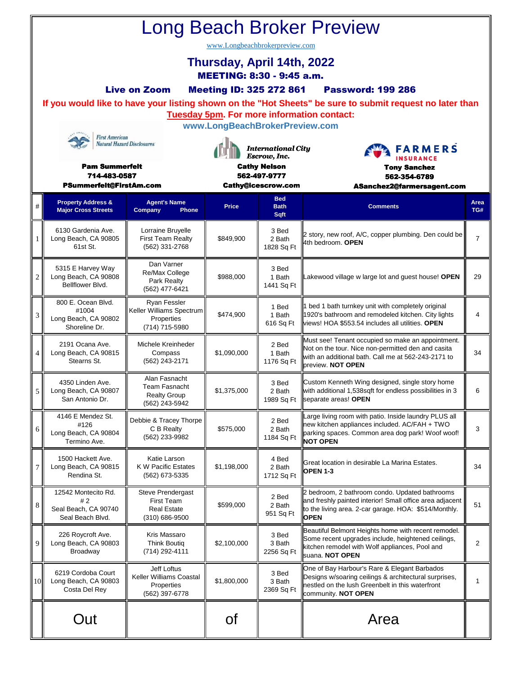| <b>Long Beach Broker Preview</b>                                                                                                                                                              |                                                                                     |                                                                                |                                                                                                               |                                   |                                                                                                                                                                                     |                |  |  |  |  |  |  |  |
|-----------------------------------------------------------------------------------------------------------------------------------------------------------------------------------------------|-------------------------------------------------------------------------------------|--------------------------------------------------------------------------------|---------------------------------------------------------------------------------------------------------------|-----------------------------------|-------------------------------------------------------------------------------------------------------------------------------------------------------------------------------------|----------------|--|--|--|--|--|--|--|
| www.Longbeachbrokerpreview.com<br>Thursday, April 14th, 2022                                                                                                                                  |                                                                                     |                                                                                |                                                                                                               |                                   |                                                                                                                                                                                     |                |  |  |  |  |  |  |  |
| <b>MEETING: 8:30 - 9:45 a.m.</b>                                                                                                                                                              |                                                                                     |                                                                                |                                                                                                               |                                   |                                                                                                                                                                                     |                |  |  |  |  |  |  |  |
| <b>Live on Zoom</b><br><b>Meeting ID: 325 272 861</b><br><b>Password: 199 286</b><br>If you would like to have your listing shown on the "Hot Sheets" be sure to submit request no later than |                                                                                     |                                                                                |                                                                                                               |                                   |                                                                                                                                                                                     |                |  |  |  |  |  |  |  |
|                                                                                                                                                                                               | <b>Tuesday 5pm. For more information contact:</b><br>www.LongBeachBrokerPreview.com |                                                                                |                                                                                                               |                                   |                                                                                                                                                                                     |                |  |  |  |  |  |  |  |
| <b>First American</b><br><b>Natural Hazard Disclosures</b>                                                                                                                                    |                                                                                     |                                                                                |                                                                                                               |                                   |                                                                                                                                                                                     |                |  |  |  |  |  |  |  |
|                                                                                                                                                                                               | <b>Pam Summerfelt</b>                                                               |                                                                                | <b>International City</b><br>Escrow, Inc.<br><b>Cathy Nelson</b><br>562-497-9777<br><b>Cathy@icescrow.com</b> |                                   | <b>FARMERS</b><br><b>INSURANCE</b><br><b>Tony Sanchez</b>                                                                                                                           |                |  |  |  |  |  |  |  |
|                                                                                                                                                                                               | 714-483-0587<br>PSummerfelt@FirstAm.com                                             | 562-354-6789<br>ASanchez2@farmersagent.com                                     |                                                                                                               |                                   |                                                                                                                                                                                     |                |  |  |  |  |  |  |  |
| #                                                                                                                                                                                             | <b>Property Address &amp;</b><br><b>Major Cross Streets</b>                         | <b>Agent's Name</b><br>Company<br>Phone                                        | <b>Price</b>                                                                                                  | <b>Bed</b><br><b>Bath</b><br>Sqft | <b>Comments</b>                                                                                                                                                                     | Area<br>TG#    |  |  |  |  |  |  |  |
| 1                                                                                                                                                                                             | 6130 Gardenia Ave.<br>Long Beach, CA 90805<br>61st St.                              | Lorraine Bruyelle<br><b>First Team Realty</b><br>(562) 331-2768                | \$849,900                                                                                                     | 3 Bed<br>2 Bath<br>1828 Sq Ft     | 2 story, new roof, A/C, copper plumbing. Den could be<br>4th bedroom. OPEN                                                                                                          | $\overline{7}$ |  |  |  |  |  |  |  |
| $\overline{2}$                                                                                                                                                                                | 5315 E Harvey Way<br>Long Beach, CA 90808<br>Bellflower Blvd.                       | Dan Varner<br>Re/Max College<br>Park Realty<br>(562) 477-6421                  | \$988,000                                                                                                     | 3 Bed<br>1 Bath<br>1441 Sq Ft     | Lakewood village w large lot and guest house! OPEN                                                                                                                                  | 29             |  |  |  |  |  |  |  |
| 3                                                                                                                                                                                             | 800 E. Ocean Blvd.<br>#1004<br>Long Beach, CA 90802<br>Shoreline Dr.                | Ryan Fessler<br>Keller Williams Spectrum<br>Properties<br>(714) 715-5980       | \$474,900                                                                                                     | 1 Bed<br>1 Bath<br>616 Sq Ft      | bed 1 bath turnkey unit with completely original<br>1920's bathroom and remodeled kitchen. City lights<br>views! HOA \$553.54 includes all utilities. OPEN                          | 4              |  |  |  |  |  |  |  |
| 4                                                                                                                                                                                             | 2191 Ocana Ave.<br>Long Beach, CA 90815<br>Stearns St.                              | Michele Kreinheder<br>Compass<br>(562) 243-2171                                | \$1,090,000                                                                                                   | 2 Bed<br>1 Bath<br>1176 Sq Ft     | Must see! Tenant occupied so make an appointment.<br>Not on the tour. Nice non-permitted den and casita<br>with an additional bath. Call me at 562-243-2171 to<br>preview. NOT OPEN | 34             |  |  |  |  |  |  |  |
| 5                                                                                                                                                                                             | 4350 Linden Ave.<br>Long Beach, CA 90807<br>San Antonio Dr.                         | Alan Fasnacht<br><b>Team Fasnacht</b><br><b>Realty Group</b><br>(562) 243-5942 | \$1,375,000                                                                                                   | 3 Bed<br>2 Bath                   | Custom Kenneth Wing designed, single story home<br>with additional 1,538sqft for endless possibilities in 3<br>1989 Sq Ft Separate areas! OPEN                                      | 6              |  |  |  |  |  |  |  |
| 6                                                                                                                                                                                             | 4146 E Mendez St.<br>#126<br>Long Beach, CA 90804<br>Termino Ave.                   | Debbie & Tracey Thorpe<br>C B Realty<br>(562) 233-9982                         | \$575,000                                                                                                     | 2 Bed<br>2 Bath<br>1184 Sq Ft     | Large living room with patio. Inside laundry PLUS all<br>new kitchen appliances included. AC/FAH + TWO<br>parking spaces. Common area dog park! Woof woof!<br><b>NOT OPEN</b>       | 3              |  |  |  |  |  |  |  |
| 7                                                                                                                                                                                             | 1500 Hackett Ave.<br>Long Beach, CA 90815<br>Rendina St.                            | Katie Larson<br>K W Pacific Estates<br>(562) 673-5335                          | \$1,198,000                                                                                                   | 4 Bed<br>2 Bath<br>1712 Sq Ft     | Great location in desirable La Marina Estates.<br>OPEN <sub>1-3</sub>                                                                                                               | 34             |  |  |  |  |  |  |  |
| 8                                                                                                                                                                                             | 12542 Montecito Rd.<br>#2<br>Seal Beach, CA 90740<br>Seal Beach Blvd.               | <b>Steve Prendergast</b><br>First Team<br><b>Real Estate</b><br>(310) 686-9500 | \$599,000                                                                                                     | 2 Bed<br>2 Bath<br>951 Sq Ft      | 2 bedroom, 2 bathroom condo. Updated bathrooms<br>and freshly painted interior! Small office area adjacent<br>to the living area. 2-car garage. HOA: \$514/Monthly.<br><b>OPEN</b>  | 51             |  |  |  |  |  |  |  |
| 9                                                                                                                                                                                             | 226 Roycroft Ave.<br>Long Beach, CA 90803<br>Broadway                               | Kris Massaro<br><b>Think Boutig</b><br>(714) 292-4111                          | \$2,100,000                                                                                                   | 3 Bed<br>3 Bath<br>2256 Sq Ft     | Beautiful Belmont Heights home with recent remodel.<br>Some recent upgrades include, heightened ceilings,<br>kitchen remodel with Wolf appliances, Pool and<br>suana. NOT OPEN      | $\overline{2}$ |  |  |  |  |  |  |  |
| 10                                                                                                                                                                                            | 6219 Cordoba Court<br>Long Beach, CA 90803<br>Costa Del Rey                         | Jeff Loftus<br>Keller Williams Coastal<br>Properties<br>(562) 397-6778         | \$1,800,000                                                                                                   | 3 Bed<br>3 Bath<br>2369 Sq Ft     | One of Bay Harbour's Rare & Elegant Barbados<br>Designs w/soaring ceilings & architectural surprises,<br>nestled on the lush Greenbelt in this waterfront<br>community. NOT OPEN    | 1              |  |  |  |  |  |  |  |
|                                                                                                                                                                                               | Out                                                                                 |                                                                                | Οf                                                                                                            |                                   | Area                                                                                                                                                                                |                |  |  |  |  |  |  |  |